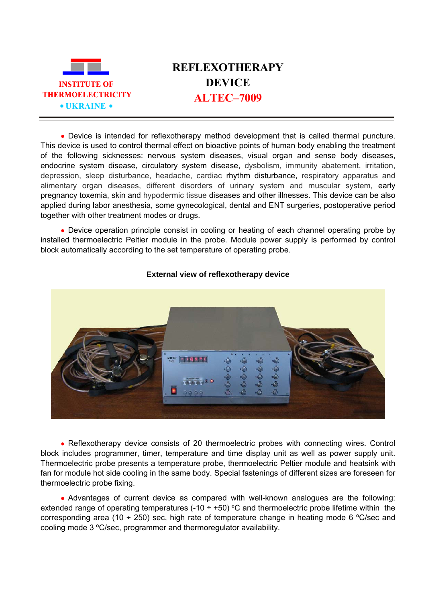

## **REFLEXOTHERAPY DEVICE**

• Device is intended for reflexotherapy method development that is called thermal puncture. This device is used to control thermal effect on bioactive points of human body enabling the treatment of the following sicknesses: nervous system diseases, visual organ and sense body diseases, endocrine system disease, circulatory system disease, dysbolism, immunity abatement, irritation, depression, sleep disturbance, headache, cardiac rhythm disturbance, respiratory apparatus and alimentary organ diseases, different disorders of urinary system and muscular system, early pregnancy toxemia, skin and hypodermic tissue diseases and other illnesses. This device can be also applied during labor anesthesia, some gynecological, dental and ENT surgeries, postoperative period together with other treatment modes or drugs.

• Device operation principle consist in cooling or heating of each channel operating probe by installed thermoelectric Peltier module in the probe. Module power supply is performed by control block automatically according to the set temperature of operating probe.



## **External view of reflexotherapy device**

• Reflexotherapy device consists of 20 thermoelectric probes with connecting wires. Control block includes programmer, timer, temperature and time display unit as well as power supply unit. Thermoelectric probe presents a temperature probe, thermoelectric Peltier module and heatsink with fan for module hot side cooling in the same body. Special fastenings of different sizes are foreseen for thermoelectric probe fixing.

• Advantages of current device as compared with well-known analogues are the following: extended range of operating temperatures  $(-10 \div 50)$  °C and thermoelectric probe lifetime within the corresponding area (10  $\div$  250) sec, high rate of temperature change in heating mode 6 °C/sec and cooling mode 3 ºС/sec, programmer and thermoregulator availability.